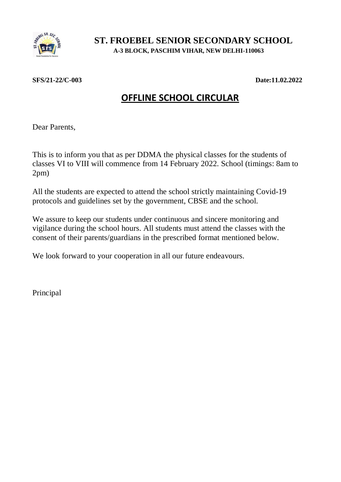

## **ST. FROEBEL SENIOR SECONDARY SCHOOL A-3 BLOCK, PASCHIM VIHAR, NEW DELHI-110063**

## **SFS/21-22/C-003 Date:11.02.2022**

## **OFFLINE SCHOOL CIRCULAR**

Dear Parents,

This is to inform you that as per DDMA the physical classes for the students of classes VI to VIII will commence from 14 February 2022. School (timings: 8am to 2pm)

All the students are expected to attend the school strictly maintaining Covid-19 protocols and guidelines set by the government, CBSE and the school.

We assure to keep our students under continuous and sincere monitoring and vigilance during the school hours. All students must attend the classes with the consent of their parents/guardians in the prescribed format mentioned below.

We look forward to your cooperation in all our future endeavours.

Principal